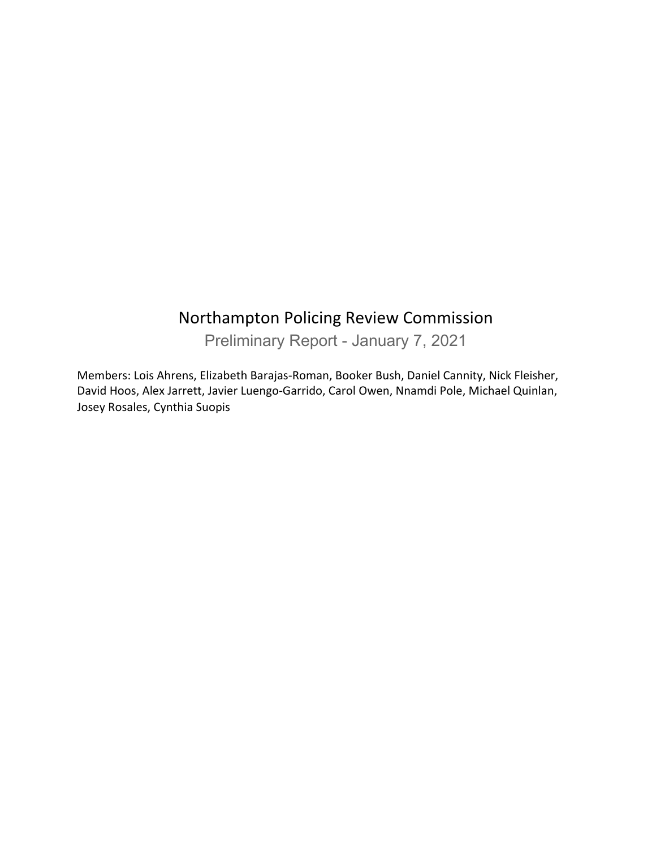## Northampton Policing Review Commission

Preliminary Report - January 7, 2021

Members: Lois Ahrens, Elizabeth Barajas-Roman, Booker Bush, Daniel Cannity, Nick Fleisher, David Hoos, Alex Jarrett, Javier Luengo-Garrido, Carol Owen, Nnamdi Pole, Michael Quinlan, Josey Rosales, Cynthia Suopis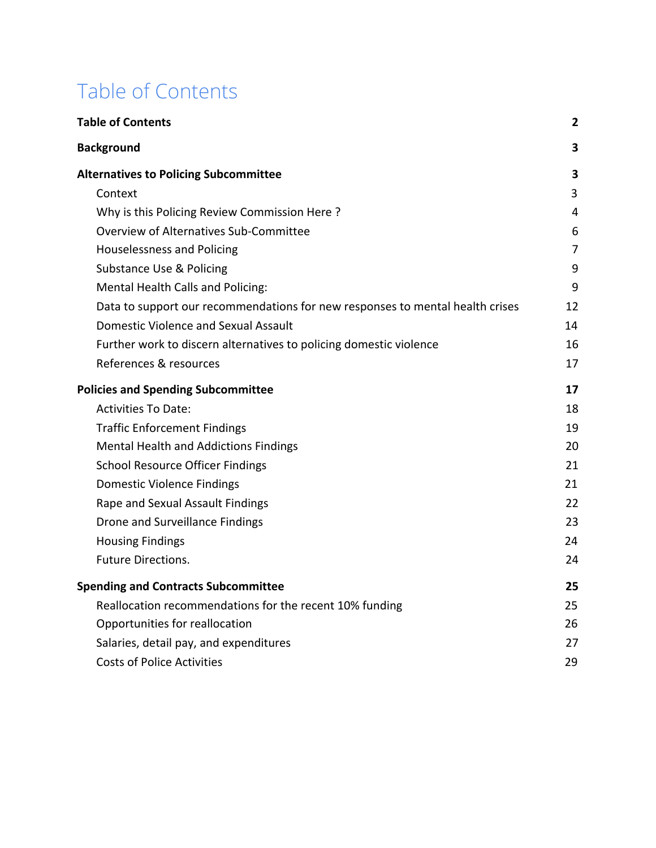# <span id="page-1-0"></span>Table of Contents

| <b>Table of Contents</b>                                                      | $\mathbf{2}$   |
|-------------------------------------------------------------------------------|----------------|
| <b>Background</b>                                                             | 3              |
| <b>Alternatives to Policing Subcommittee</b>                                  | 3              |
| Context                                                                       | 3              |
| Why is this Policing Review Commission Here?                                  | 4              |
| Overview of Alternatives Sub-Committee                                        | 6              |
| Houselessness and Policing                                                    | $\overline{7}$ |
| Substance Use & Policing                                                      | 9              |
| Mental Health Calls and Policing:                                             | 9              |
| Data to support our recommendations for new responses to mental health crises | 12             |
| <b>Domestic Violence and Sexual Assault</b>                                   | 14             |
| Further work to discern alternatives to policing domestic violence            | 16             |
| References & resources                                                        | 17             |
| <b>Policies and Spending Subcommittee</b>                                     | 17             |
| <b>Activities To Date:</b>                                                    | 18             |
| <b>Traffic Enforcement Findings</b>                                           | 19             |
| Mental Health and Addictions Findings                                         | 20             |
| <b>School Resource Officer Findings</b>                                       | 21             |
| <b>Domestic Violence Findings</b>                                             | 21             |
| Rape and Sexual Assault Findings                                              | 22             |
| Drone and Surveillance Findings                                               | 23             |
| <b>Housing Findings</b>                                                       | 24             |
| <b>Future Directions.</b>                                                     | 24             |
| <b>Spending and Contracts Subcommittee</b>                                    | 25             |
| Reallocation recommendations for the recent 10% funding                       | 25             |
| Opportunities for reallocation                                                | 26             |
| Salaries, detail pay, and expenditures                                        | 27             |
| <b>Costs of Police Activities</b>                                             | 29             |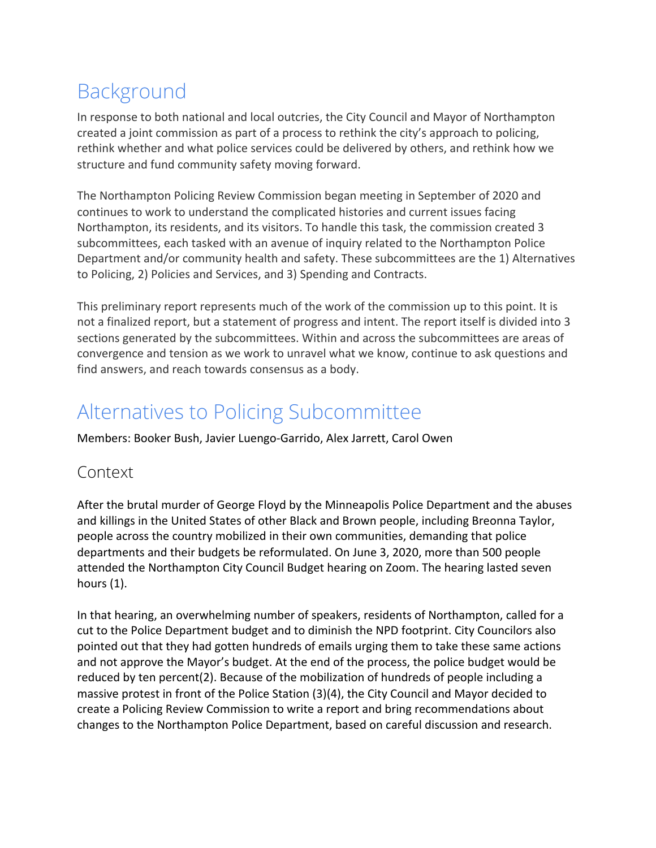# <span id="page-2-0"></span>Background

In response to both national and local outcries, the City Council and Mayor of Northampton created a joint commission as part of a process to rethink the city's approach to policing, rethink whether and what police services could be delivered by others, and rethink how we structure and fund community safety moving forward.

The Northampton Policing Review Commission began meeting in September of 2020 and continues to work to understand the complicated histories and current issues facing Northampton, its residents, and its visitors. To handle this task, the commission created 3 subcommittees, each tasked with an avenue of inquiry related to the Northampton Police Department and/or community health and safety. These subcommittees are the 1) Alternatives to Policing, 2) Policies and Services, and 3) Spending and Contracts.

This preliminary report represents much of the work of the commission up to this point. It is not a finalized report, but a statement of progress and intent. The report itself is divided into 3 sections generated by the subcommittees. Within and across the subcommittees are areas of convergence and tension as we work to unravel what we know, continue to ask questions and find answers, and reach towards consensus as a body.

# <span id="page-2-1"></span>Alternatives to Policing Subcommittee

Members: Booker Bush, Javier Luengo-Garrido, Alex Jarrett, Carol Owen

## <span id="page-2-2"></span>Context

After the brutal murder of George Floyd by the Minneapolis Police Department and the abuses and killings in the United States of other Black and Brown people, including Breonna Taylor, people across the country mobilized in their own communities, demanding that police departments and their budgets be reformulated. On June 3, 2020, more than 500 people attended the Northampton City Council Budget hearing on Zoom. The hearing lasted seven hours (1).

In that hearing, an overwhelming number of speakers, residents of Northampton, called for a cut to the Police Department budget and to diminish the NPD footprint. City Councilors also pointed out that they had gotten hundreds of emails urging them to take these same actions and not approve the Mayor's budget. At the end of the process, the police budget would be reduced by ten percent(2). Because of the mobilization of hundreds of people including a massive protest in front of the Police Station (3)(4), the City Council and Mayor decided to create a Policing Review Commission to write a report and bring recommendations about changes to the Northampton Police Department, based on careful discussion and research.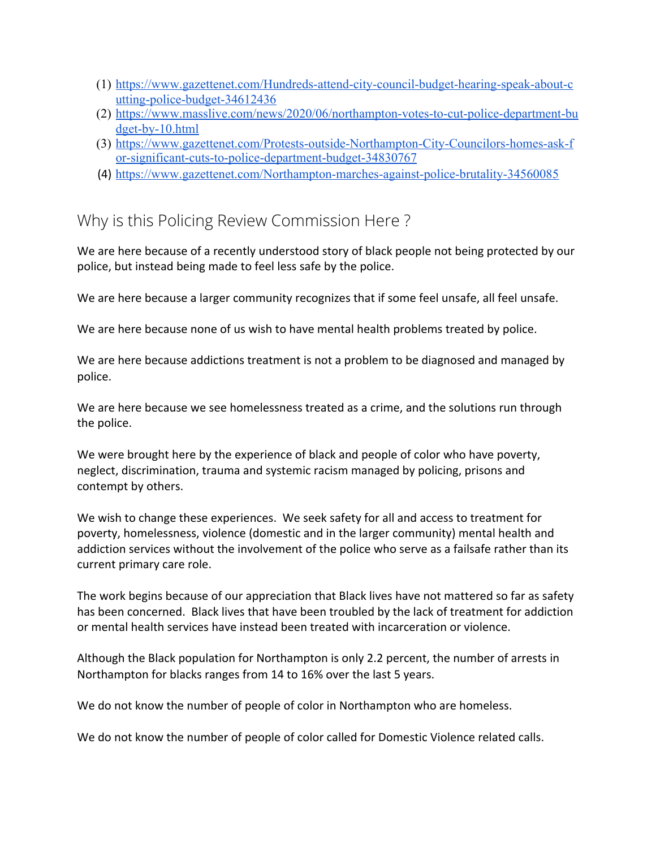- (1) [https://www.gazettenet.com/Hundreds-attend-city-council-budget-hearing-speak-about-c](https://www.gazettenet.com/Hundreds-attend-city-council-budget-hearing-speak-about-cutting-police-budget-34612436) [utting-police-budget-34612436](https://www.gazettenet.com/Hundreds-attend-city-council-budget-hearing-speak-about-cutting-police-budget-34612436)
- (2) [https://www.masslive.com/news/2020/06/northampton-votes-to-cut-police-department-bu](https://www.masslive.com/news/2020/06/northampton-votes-to-cut-police-department-budget-by-10.html) [dget-by-10.html](https://www.masslive.com/news/2020/06/northampton-votes-to-cut-police-department-budget-by-10.html)
- (3) [https://www.gazettenet.com/Protests-outside-Northampton-City-Councilors-homes-ask-f](https://www.gazettenet.com/Protests-outside-Northampton-City-Councilors-homes-ask-for-significant-cuts-to-police-department-budget-34830767) [or-significant-cuts-to-police-department-budget-34830767](https://www.gazettenet.com/Protests-outside-Northampton-City-Councilors-homes-ask-for-significant-cuts-to-police-department-budget-34830767)
- (4) <https://www.gazettenet.com/Northampton-marches-against-police-brutality-34560085>

## <span id="page-3-0"></span>Why is this Policing Review Commission Here ?

We are here because of a recently understood story of black people not being protected by our police, but instead being made to feel less safe by the police.

We are here because a larger community recognizes that if some feel unsafe, all feel unsafe.

We are here because none of us wish to have mental health problems treated by police.

We are here because addictions treatment is not a problem to be diagnosed and managed by police.

We are here because we see homelessness treated as a crime, and the solutions run through the police.

We were brought here by the experience of black and people of color who have poverty, neglect, discrimination, trauma and systemic racism managed by policing, prisons and contempt by others.

We wish to change these experiences. We seek safety for all and access to treatment for poverty, homelessness, violence (domestic and in the larger community) mental health and addiction services without the involvement of the police who serve as a failsafe rather than its current primary care role.

The work begins because of our appreciation that Black lives have not mattered so far as safety has been concerned. Black lives that have been troubled by the lack of treatment for addiction or mental health services have instead been treated with incarceration or violence.

Although the Black population for Northampton is only 2.2 percent, the number of arrests in Northampton for blacks ranges from 14 to 16% over the last 5 years.

We do not know the number of people of color in Northampton who are homeless.

We do not know the number of people of color called for Domestic Violence related calls.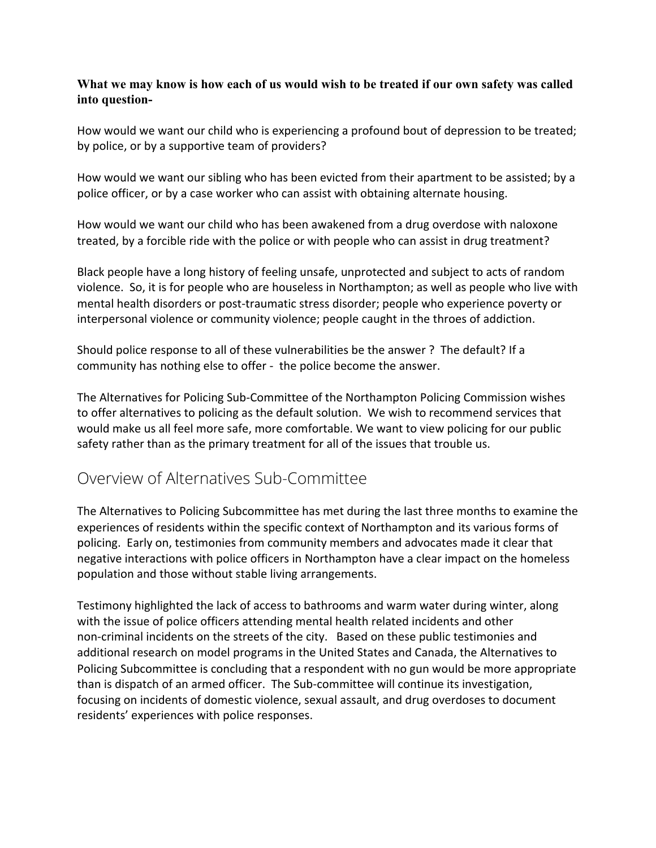#### **What we may know is how each of us would wish to be treated if our own safety was called into question-**

How would we want our child who is experiencing a profound bout of depression to be treated; by police, or by a supportive team of providers?

How would we want our sibling who has been evicted from their apartment to be assisted; by a police officer, or by a case worker who can assist with obtaining alternate housing.

How would we want our child who has been awakened from a drug overdose with naloxone treated, by a forcible ride with the police or with people who can assist in drug treatment?

Black people have a long history of feeling unsafe, unprotected and subject to acts of random violence. So, it is for people who are houseless in Northampton; as well as people who live with mental health disorders or post-traumatic stress disorder; people who experience poverty or interpersonal violence or community violence; people caught in the throes of addiction.

Should police response to all of these vulnerabilities be the answer ? The default? If a community has nothing else to offer - the police become the answer.

The Alternatives for Policing Sub-Committee of the Northampton Policing Commission wishes to offer alternatives to policing as the default solution. We wish to recommend services that would make us all feel more safe, more comfortable. We want to view policing for our public safety rather than as the primary treatment for all of the issues that trouble us.

## <span id="page-4-0"></span>Overview of Alternatives Sub-Committee

The Alternatives to Policing Subcommittee has met during the last three months to examine the experiences of residents within the specific context of Northampton and its various forms of policing. Early on, testimonies from community members and advocates made it clear that negative interactions with police officers in Northampton have a clear impact on the homeless population and those without stable living arrangements.

Testimony highlighted the lack of access to bathrooms and warm water during winter, along with the issue of police officers attending mental health related incidents and other non-criminal incidents on the streets of the city. Based on these public testimonies and additional research on model programs in the United States and Canada, the Alternatives to Policing Subcommittee is concluding that a respondent with no gun would be more appropriate than is dispatch of an armed officer. The Sub-committee will continue its investigation, focusing on incidents of domestic violence, sexual assault, and drug overdoses to document residents' experiences with police responses.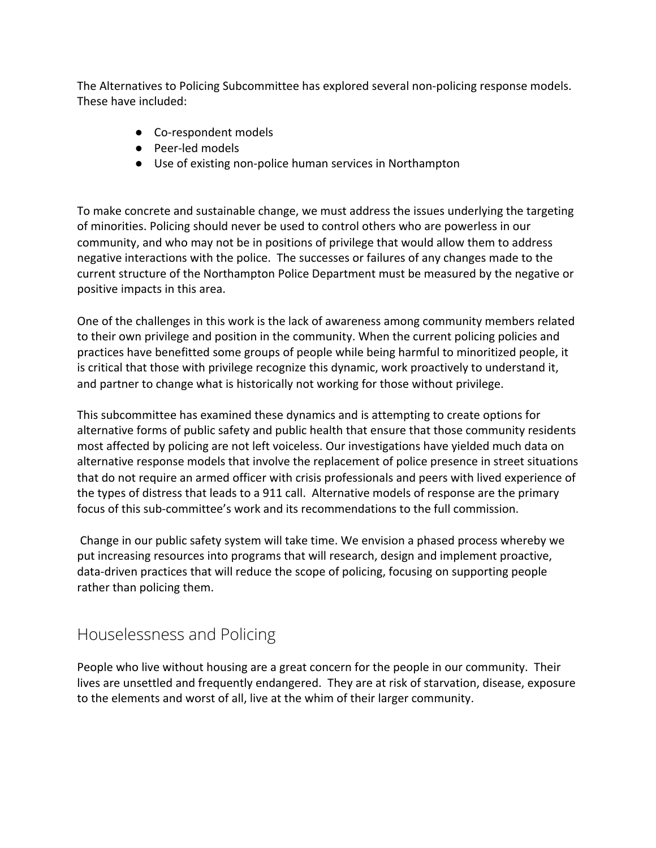The Alternatives to Policing Subcommittee has explored several non-policing response models. These have included:

- Co-respondent models
- Peer-led models
- Use of existing non-police human services in Northampton

To make concrete and sustainable change, we must address the issues underlying the targeting of minorities. Policing should never be used to control others who are powerless in our community, and who may not be in positions of privilege that would allow them to address negative interactions with the police. The successes or failures of any changes made to the current structure of the Northampton Police Department must be measured by the negative or positive impacts in this area.

One of the challenges in this work is the lack of awareness among community members related to their own privilege and position in the community. When the current policing policies and practices have benefitted some groups of people while being harmful to minoritized people, it is critical that those with privilege recognize this dynamic, work proactively to understand it, and partner to change what is historically not working for those without privilege.

This subcommittee has examined these dynamics and is attempting to create options for alternative forms of public safety and public health that ensure that those community residents most affected by policing are not left voiceless. Our investigations have yielded much data on alternative response models that involve the replacement of police presence in street situations that do not require an armed officer with crisis professionals and peers with lived experience of the types of distress that leads to a 911 call. Alternative models of response are the primary focus of this sub-committee's work and its recommendations to the full commission.

 Change in our public safety system will take time. We envision a phased process whereby we put increasing resources into programs that will research, design and implement proactive, data-driven practices that will reduce the scope of policing, focusing on supporting people rather than policing them.

### <span id="page-5-0"></span>Houselessness and Policing

People who live without housing are a great concern for the people in our community. Their lives are unsettled and frequently endangered. They are at risk of starvation, disease, exposure to the elements and worst of all, live at the whim of their larger community.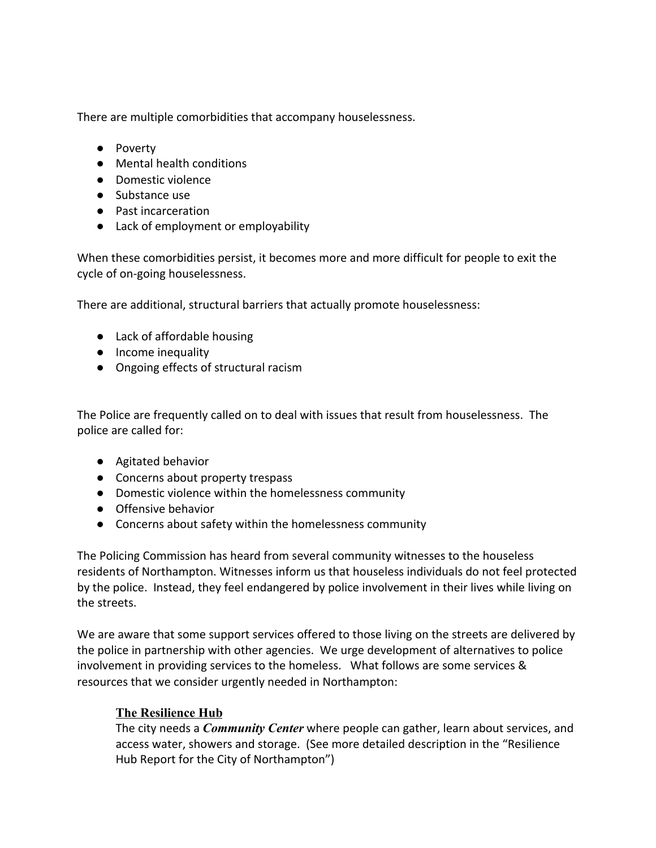There are multiple comorbidities that accompany houselessness.

- Poverty
- Mental health conditions
- Domestic violence
- Substance use
- Past incarceration
- Lack of employment or employability

When these comorbidities persist, it becomes more and more difficult for people to exit the cycle of on-going houselessness.

There are additional, structural barriers that actually promote houselessness:

- Lack of affordable housing
- Income inequality
- Ongoing effects of structural racism

The Police are frequently called on to deal with issues that result from houselessness. The police are called for:

- Agitated behavior
- Concerns about property trespass
- Domestic violence within the homelessness community
- Offensive behavior
- Concerns about safety within the homelessness community

The Policing Commission has heard from several community witnesses to the houseless residents of Northampton. Witnesses inform us that houseless individuals do not feel protected by the police. Instead, they feel endangered by police involvement in their lives while living on the streets.

We are aware that some support services offered to those living on the streets are delivered by the police in partnership with other agencies. We urge development of alternatives to police involvement in providing services to the homeless. What follows are some services & resources that we consider urgently needed in Northampton:

### **The Resilience Hub**

The city needs a *Community Center* where people can gather, learn about services, and access water, showers and storage. (See more detailed description in the "Resilience Hub Report for the City of Northampton")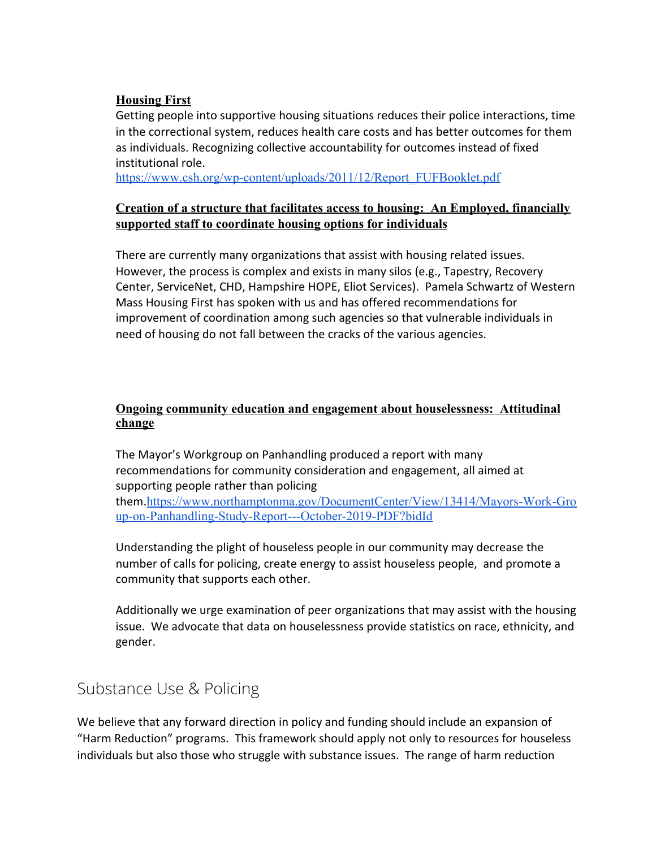#### **Housing First**

Getting people into supportive housing situations reduces their police interactions, time in the correctional system, reduces health care costs and has better outcomes for them as individuals. Recognizing collective accountability for outcomes instead of fixed institutional role.

[https://www.csh.org/wp-content/uploads/2011/12/Report\\_FUFBooklet.pdf](https://www.csh.org/wp-content/uploads/2011/12/Report_FUFBooklet.pdf)

#### **Creation of a structure that facilitates access to housing: An Employed, financially supported staff to coordinate housing options for individuals**

There are currently many organizations that assist with housing related issues. However, the process is complex and exists in many silos (e.g., Tapestry, Recovery Center, ServiceNet, CHD, Hampshire HOPE, Eliot Services). Pamela Schwartz of Western Mass Housing First has spoken with us and has offered recommendations for improvement of coordination among such agencies so that vulnerable individuals in need of housing do not fall between the cracks of the various agencies.

#### **Ongoing community education and engagement about houselessness: Attitudinal change**

The Mayor's Workgroup on Panhandling produced a report with many recommendations for community consideration and engagement, all aimed at supporting people rather than policing them.[https://www.northamptonma.gov/DocumentCenter/View/13414/Mayors-Work-Gro](https://www.northamptonma.gov/DocumentCenter/View/13414/Mayors-Work-Group-on-Panhandling-Study-Report---October-2019-PDF?bidId)

[up-on-Panhandling-Study-Report---October-2019-PDF?bidId](https://www.northamptonma.gov/DocumentCenter/View/13414/Mayors-Work-Group-on-Panhandling-Study-Report---October-2019-PDF?bidId)

Understanding the plight of houseless people in our community may decrease the number of calls for policing, create energy to assist houseless people, and promote a community that supports each other.

Additionally we urge examination of peer organizations that may assist with the housing issue. We advocate that data on houselessness provide statistics on race, ethnicity, and gender.

## <span id="page-7-0"></span>Substance Use & Policing

We believe that any forward direction in policy and funding should include an expansion of "Harm Reduction" programs. This framework should apply not only to resources for houseless individuals but also those who struggle with substance issues. The range of harm reduction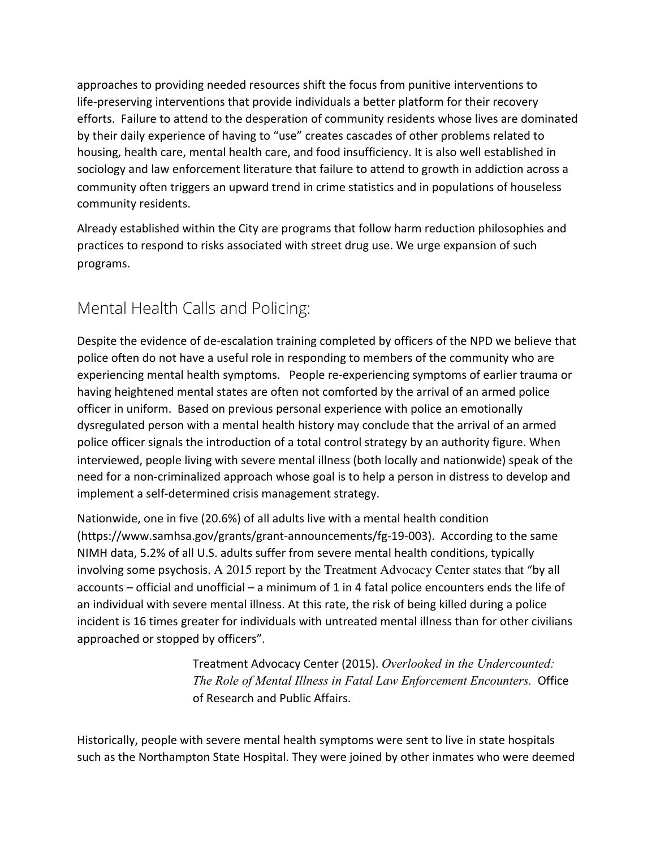approaches to providing needed resources shift the focus from punitive interventions to life-preserving interventions that provide individuals a better platform for their recovery efforts. Failure to attend to the desperation of community residents whose lives are dominated by their daily experience of having to "use" creates cascades of other problems related to housing, health care, mental health care, and food insufficiency. It is also well established in sociology and law enforcement literature that failure to attend to growth in addiction across a community often triggers an upward trend in crime statistics and in populations of houseless community residents.

Already established within the City are programs that follow harm reduction philosophies and practices to respond to risks associated with street drug use. We urge expansion of such programs.

## <span id="page-8-0"></span>Mental Health Calls and Policing:

Despite the evidence of de-escalation training completed by officers of the NPD we believe that police often do not have a useful role in responding to members of the community who are experiencing mental health symptoms. People re-experiencing symptoms of earlier trauma or having heightened mental states are often not comforted by the arrival of an armed police officer in uniform. Based on previous personal experience with police an emotionally dysregulated person with a mental health history may conclude that the arrival of an armed police officer signals the introduction of a total control strategy by an authority figure. When interviewed, people living with severe mental illness (both locally and nationwide) speak of the need for a non-criminalized approach whose goal is to help a person in distress to develop and implement a self-determined crisis management strategy.

Nationwide, one in five (20.6%) of all adults live with a mental health condition (https://www.samhsa.gov/grants/grant-announcements/fg-19-003). According to the same NIMH data, 5.2% of all U.S. adults suffer from severe mental health conditions, typically involving some psychosis. A 2015 report by the Treatment Advocacy Center states that "by all accounts – official and unofficial – a minimum of 1 in 4 fatal police encounters ends the life of an individual with severe mental illness. At this rate, the risk of being killed during a police incident is 16 times greater for individuals with untreated mental illness than for other civilians approached or stopped by officers".

> Treatment Advocacy Center (2015). *Overlooked in the Undercounted: The Role of Mental Illness in Fatal Law Enforcement Encounters.* Office of Research and Public Affairs.

Historically, people with severe mental health symptoms were sent to live in state hospitals such as the Northampton State Hospital. They were joined by other inmates who were deemed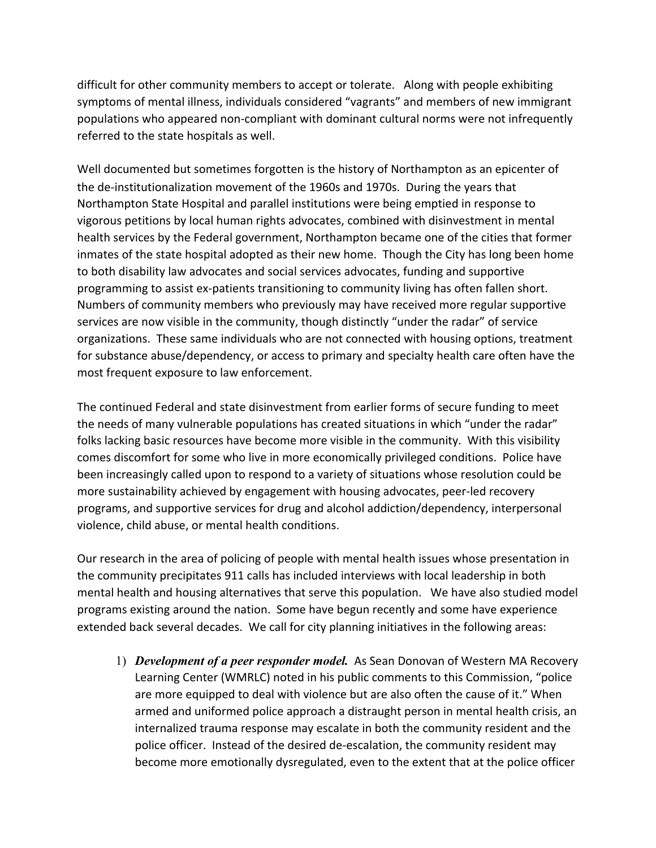difficult for other community members to accept or tolerate. Along with people exhibiting symptoms of mental illness, individuals considered "vagrants" and members of new immigrant populations who appeared non-compliant with dominant cultural norms were not infrequently referred to the state hospitals as well.

Well documented but sometimes forgotten is the history of Northampton as an epicenter of the de-institutionalization movement of the 1960s and 1970s. During the years that Northampton State Hospital and parallel institutions were being emptied in response to vigorous petitions by local human rights advocates, combined with disinvestment in mental health services by the Federal government, Northampton became one of the cities that former inmates of the state hospital adopted as their new home. Though the City has long been home to both disability law advocates and social services advocates, funding and supportive programming to assist ex-patients transitioning to community living has often fallen short. Numbers of community members who previously may have received more regular supportive services are now visible in the community, though distinctly "under the radar" of service organizations. These same individuals who are not connected with housing options, treatment for substance abuse/dependency, or access to primary and specialty health care often have the most frequent exposure to law enforcement.

The continued Federal and state disinvestment from earlier forms of secure funding to meet the needs of many vulnerable populations has created situations in which "under the radar" folks lacking basic resources have become more visible in the community. With this visibility comes discomfort for some who live in more economically privileged conditions. Police have been increasingly called upon to respond to a variety of situations whose resolution could be more sustainability achieved by engagement with housing advocates, peer-led recovery programs, and supportive services for drug and alcohol addiction/dependency, interpersonal violence, child abuse, or mental health conditions.

Our research in the area of policing of people with mental health issues whose presentation in the community precipitates 911 calls has included interviews with local leadership in both mental health and housing alternatives that serve this population. We have also studied model programs existing around the nation. Some have begun recently and some have experience extended back several decades. We call for city planning initiatives in the following areas:

1) *Development of a peer responder model.* As Sean Donovan of Western MA Recovery Learning Center (WMRLC) noted in his public comments to this Commission, "police are more equipped to deal with violence but are also often the cause of it." When armed and uniformed police approach a distraught person in mental health crisis, an internalized trauma response may escalate in both the community resident and the police officer. Instead of the desired de-escalation, the community resident may become more emotionally dysregulated, even to the extent that at the police officer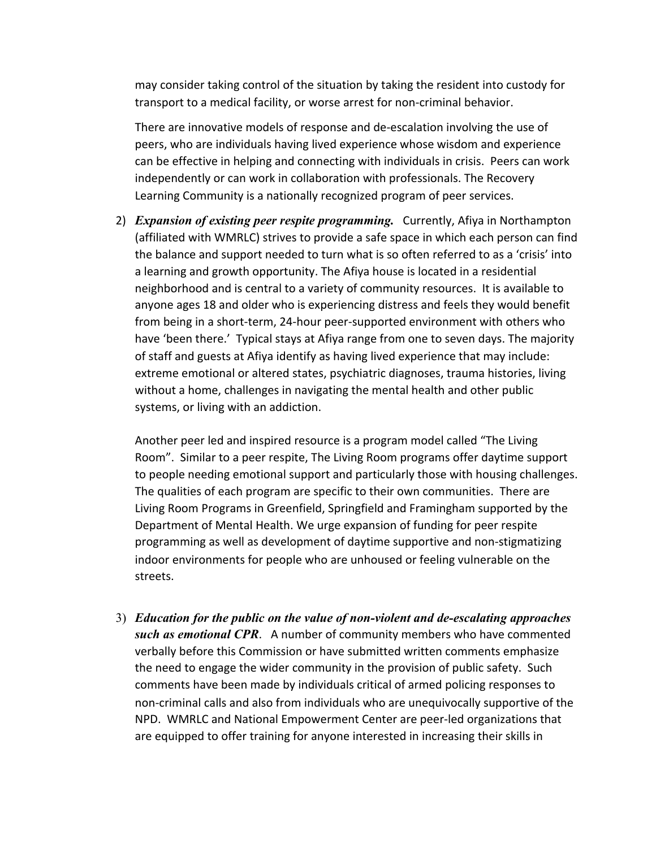may consider taking control of the situation by taking the resident into custody for transport to a medical facility, or worse arrest for non-criminal behavior.

There are innovative models of response and de-escalation involving the use of peers, who are individuals having lived experience whose wisdom and experience can be effective in helping and connecting with individuals in crisis. Peers can work independently or can work in collaboration with professionals. The Recovery Learning Community is a nationally recognized program of peer services.

2) *Expansion of existing peer respite programming.* Currently, Afiya in Northampton (affiliated with WMRLC) strives to provide a safe space in which each person can find the balance and support needed to turn what is so often referred to as a 'crisis' into a learning and growth opportunity. The Afiya house is located in a residential neighborhood and is central to a variety of community resources. It is available to anyone ages 18 and older who is experiencing distress and feels they would benefit from being in a short-term, 24-hour peer-supported environment with others who have 'been there.' Typical stays at Afiya range from one to seven days. The majority of staff and guests at Afiya identify as having lived experience that may include: extreme emotional or altered states, psychiatric diagnoses, trauma histories, living without a home, challenges in navigating the mental health and other public systems, or living with an addiction.

Another peer led and inspired resource is a program model called "The Living Room". Similar to a peer respite, The Living Room programs offer daytime support to people needing emotional support and particularly those with housing challenges. The qualities of each program are specific to their own communities. There are Living Room Programs in Greenfield, Springfield and Framingham supported by the Department of Mental Health. We urge expansion of funding for peer respite programming as well as development of daytime supportive and non-stigmatizing indoor environments for people who are unhoused or feeling vulnerable on the streets.

3) *Education for the public on the value of non-violent and de-escalating approaches such as emotional CPR*. A number of community members who have commented verbally before this Commission or have submitted written comments emphasize the need to engage the wider community in the provision of public safety. Such comments have been made by individuals critical of armed policing responses to non-criminal calls and also from individuals who are unequivocally supportive of the NPD. WMRLC and National Empowerment Center are peer-led organizations that are equipped to offer training for anyone interested in increasing their skills in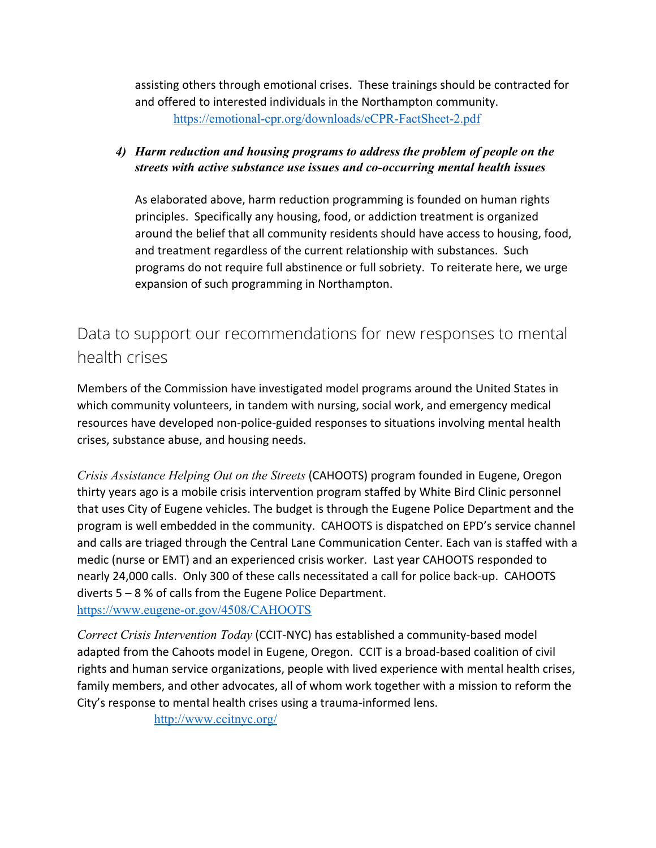assisting others through emotional crises. These trainings should be contracted for and offered to interested individuals in the Northampton community. <https://emotional-cpr.org/downloads/eCPR-FactSheet-2.pdf>

### *4) Harm reduction and housing programs to address the problem of people on the streets with active substance use issues and co-occurring mental health issues*

As elaborated above, harm reduction programming is founded on human rights principles. Specifically any housing, food, or addiction treatment is organized around the belief that all community residents should have access to housing, food, and treatment regardless of the current relationship with substances. Such programs do not require full abstinence or full sobriety. To reiterate here, we urge expansion of such programming in Northampton.

## <span id="page-11-0"></span>Data to support our recommendations for new responses to mental health crises

Members of the Commission have investigated model programs around the United States in which community volunteers, in tandem with nursing, social work, and emergency medical resources have developed non-police-guided responses to situations involving mental health crises, substance abuse, and housing needs.

*Crisis Assistance Helping Out on the Streets* (CAHOOTS) program founded in Eugene, Oregon thirty years ago is a mobile crisis intervention program staffed by White Bird Clinic personnel that uses City of Eugene vehicles. The budget is through the Eugene Police Department and the program is well embedded in the community. CAHOOTS is dispatched on EPD's service channel and calls are triaged through the Central Lane Communication Center. Each van is staffed with a medic (nurse or EMT) and an experienced crisis worker. Last year CAHOOTS responded to nearly 24,000 calls. Only 300 of these calls necessitated a call for police back-up. CAHOOTS diverts 5 – 8 % of calls from the Eugene Police Department. <https://www.eugene-or.gov/4508/CAHOOTS>

*Correct Crisis Intervention Today* (CCIT-NYC) has established a community-based model adapted from the Cahoots model in Eugene, Oregon. CCIT is a broad-based coalition of civil rights and human service organizations, people with lived experience with mental health crises, family members, and other advocates, all of whom work together with a mission to reform the City's response to mental health crises using a trauma-informed lens.

<http://www.ccitnyc.org/>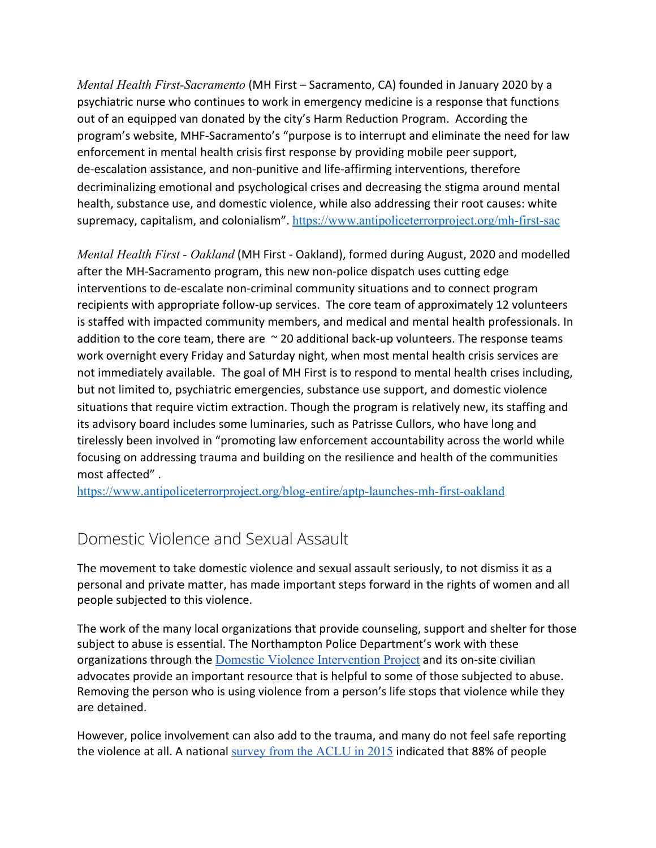*Mental Health First-Sacramento* (MH First – Sacramento, CA) founded in January 2020 by a psychiatric nurse who continues to work in emergency medicine is a response that functions out of an equipped van donated by the city's Harm Reduction Program. According the program's website, MHF-Sacramento's "purpose is to interrupt and eliminate the need for law enforcement in mental health crisis first response by providing mobile peer support, de-escalation assistance, and non-punitive and life-affirming interventions, therefore decriminalizing emotional and psychological crises and decreasing the stigma around mental health, substance use, and domestic violence, while also addressing their root causes: white supremacy, capitalism, and colonialism". <https://www.antipoliceterrorproject.org/mh-first-sac>

*Mental Health First - Oakland* (MH First - Oakland), formed during August, 2020 and modelled after the MH-Sacramento program, this new non-police dispatch uses cutting edge interventions to de-escalate non-criminal community situations and to connect program recipients with appropriate follow-up services. The core team of approximately 12 volunteers is staffed with impacted community members, and medical and mental health professionals. In addition to the core team, there are  $\sim$  20 additional back-up volunteers. The response teams work overnight every Friday and Saturday night, when most mental health crisis services are not immediately available. The goal of MH First is to respond to mental health crises including, but not limited to, psychiatric emergencies, substance use support, and domestic violence situations that require victim extraction. Though the program is relatively new, its staffing and its advisory board includes some luminaries, such as Patrisse Cullors, who have long and tirelessly been involved in "promoting law enforcement accountability across the world while focusing on addressing trauma and building on the resilience and health of the communities most affected" .

<https://www.antipoliceterrorproject.org/blog-entire/aptp-launches-mh-first-oakland>

## <span id="page-12-0"></span>Domestic Violence and Sexual Assault

The movement to take domestic violence and sexual assault seriously, to not dismiss it as a personal and private matter, has made important steps forward in the rights of women and all people subjected to this violence.

The work of the many local organizations that provide counseling, support and shelter for those subject to abuse is essential. The Northampton Police Department's work with these organizations through the [Domestic Violence Intervention Project](https://www.northamptonpd.com/other-resources/domestic-violence.html) and its on-site civilian advocates provide an important resource that is helpful to some of those subjected to abuse. Removing the person who is using violence from a person's life stops that violence while they are detained.

However, police involvement can also add to the trauma, and many do not feel safe reporting the violence at all. A national [survey from the ACLU in 2015](https://www.aclu.org/sites/default/files/field_document/2015.10.20_report_-_responses_from_the_field.pdf) indicated that 88% of people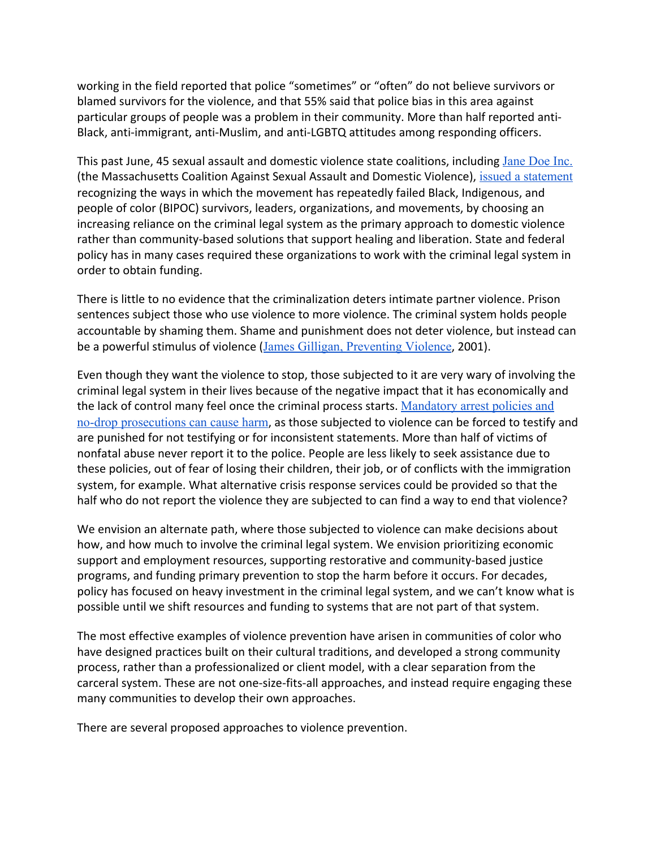working in the field reported that police "sometimes" or "often" do not believe survivors or blamed survivors for the violence, and that 55% said that police bias in this area against particular groups of people was a problem in their community. More than half reported anti-Black, anti-immigrant, anti-Muslim, and anti-LGBTQ attitudes among responding officers.

This past June, 45 sexual assault and domestic violence state coalitions, including [Jane Doe Inc.](https://janedoe.org/) (the Massachusetts Coalition Against Sexual Assault and Domestic Violence), [issued a statement](https://vtnetwork.org/in-the-news-moment-of-truth/) recognizing the ways in which the movement has repeatedly failed Black, Indigenous, and people of color (BIPOC) survivors, leaders, organizations, and movements, by choosing an increasing reliance on the criminal legal system as the primary approach to domestic violence rather than community-based solutions that support healing and liberation. State and federal policy has in many cases required these organizations to work with the criminal legal system in order to obtain funding.

There is little to no evidence that the criminalization deters intimate partner violence. Prison sentences subject those who use violence to more violence. The criminal system holds people accountable by shaming them. Shame and punishment does not deter violence, but instead can be a powerful stimulus of violence ([James Gilligan, Preventing Violence](https://www.google.com/search?q=James%20Gilligan,%20Preventing%20Violence,%202001), 2001).

Even though they want the violence to stop, those subjected to it are very wary of involving the criminal legal system in their lives because of the negative impact that it has economically and the lack of control many feel once the criminal process starts. [Mandatory arrest policies and](http://www.ncdsv.org/Natl-LGBTQ-DV-CBLC_There%27s+No+One+I+Can+Trust_2016.pdf) [no-drop prosecutions can cause harm](http://www.ncdsv.org/Natl-LGBTQ-DV-CBLC_There%27s+No+One+I+Can+Trust_2016.pdf), as those subjected to violence can be forced to testify and are punished for not testifying or for inconsistent statements. More than half of victims of nonfatal abuse never report it to the police. People are less likely to seek assistance due to these policies, out of fear of losing their children, their job, or of conflicts with the immigration system, for example. What alternative crisis response services could be provided so that the half who do not report the violence they are subjected to can find a way to end that violence?

We envision an alternate path, where those subjected to violence can make decisions about how, and how much to involve the criminal legal system. We envision prioritizing economic support and employment resources, supporting restorative and community-based justice programs, and funding primary prevention to stop the harm before it occurs. For decades, policy has focused on heavy investment in the criminal legal system, and we can't know what is possible until we shift resources and funding to systems that are not part of that system.

The most effective examples of violence prevention have arisen in communities of color who have designed practices built on their cultural traditions, and developed a strong community process, rather than a professionalized or client model, with a clear separation from the carceral system. These are not one-size-fits-all approaches, and instead require engaging these many communities to develop their own approaches.

There are several proposed approaches to violence prevention.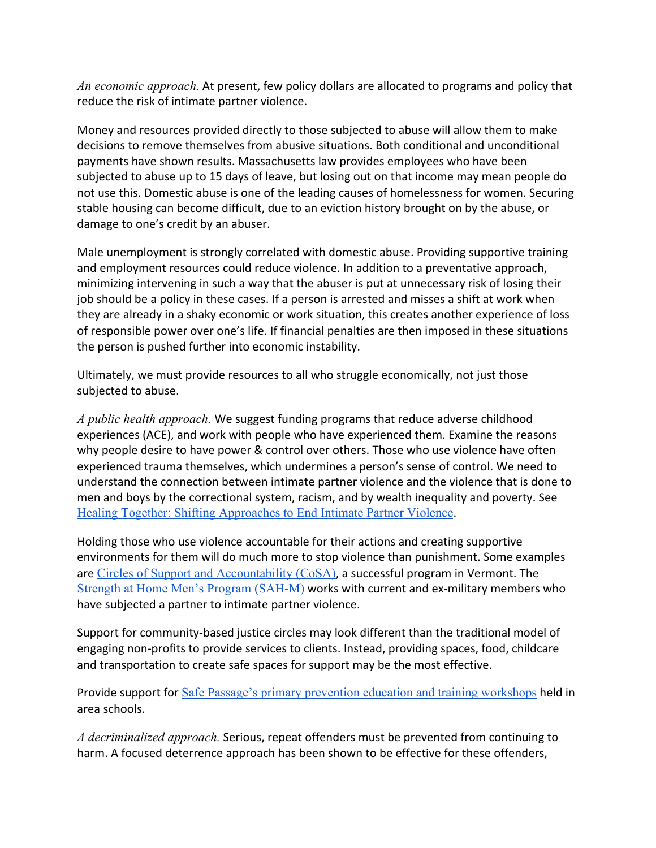*An economic approach.* At present, few policy dollars are allocated to programs and policy that reduce the risk of intimate partner violence.

Money and resources provided directly to those subjected to abuse will allow them to make decisions to remove themselves from abusive situations. Both conditional and unconditional payments have shown results. Massachusetts law provides employees who have been subjected to abuse up to 15 days of leave, but losing out on that income may mean people do not use this. Domestic abuse is one of the leading causes of homelessness for women. Securing stable housing can become difficult, due to an eviction history brought on by the abuse, or damage to one's credit by an abuser.

Male unemployment is strongly correlated with domestic abuse. Providing supportive training and employment resources could reduce violence. In addition to a preventative approach, minimizing intervening in such a way that the abuser is put at unnecessary risk of losing their job should be a policy in these cases. If a person is arrested and misses a shift at work when they are already in a shaky economic or work situation, this creates another experience of loss of responsible power over one's life. If financial penalties are then imposed in these situations the person is pushed further into economic instability.

Ultimately, we must provide resources to all who struggle economically, not just those subjected to abuse.

*A public health approach.* We suggest funding programs that reduce adverse childhood experiences (ACE), and work with people who have experienced them. Examine the reasons why people desire to have power & control over others. Those who use violence have often experienced trauma themselves, which undermines a person's sense of control. We need to understand the connection between intimate partner violence and the violence that is done to men and boys by the correctional system, racism, and by wealth inequality and poverty. See [Healing Together: Shifting Approaches to End Intimate Partner Violence](https://www.policylink.org/sites/default/files/pl_report_healing_FINAL_10-18-19.pdf).

Holding those who use violence accountable for their actions and creating supportive environments for them will do much more to stop violence than punishment. Some examples are [Circles of Support and Accountability \(CoSA\)](https://humanservices.vermont.gov/highlighting-promising-practice/circles-support-and-accountability-cosa-and-restorative-justice), a successful program in Vermont. The [Strength at Home Men's Program \(SAH-M\)](https://crimesolutions.ojp.gov/ratedprograms/653) works with current and ex-military members who have subjected a partner to intimate partner violence.

Support for community-based justice circles may look different than the traditional model of engaging non-profits to provide services to clients. Instead, providing spaces, food, childcare and transportation to create safe spaces for support may be the most effective.

Provide support for [Safe Passage's primary prevention education and training workshops](https://safepass.org/educate/) held in area schools.

*A decriminalized approach.* Serious, repeat offenders must be prevented from continuing to harm. A focused deterrence approach has been shown to be effective for these offenders,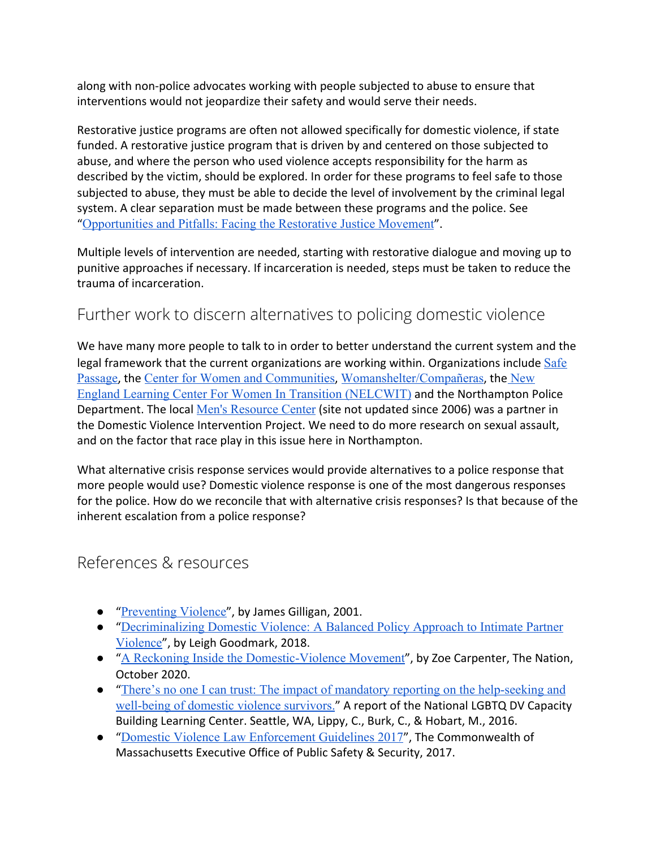along with non-police advocates working with people subjected to abuse to ensure that interventions would not jeopardize their safety and would serve their needs.

Restorative justice programs are often not allowed specifically for domestic violence, if state funded. A restorative justice program that is driven by and centered on those subjected to abuse, and where the person who used violence accepts responsibility for the harm as described by the victim, should be explored. In order for these programs to feel safe to those subjected to abuse, they must be able to decide the level of involvement by the criminal legal system. A clear separation must be made between these programs and the police. See "[Opportunities and Pitfalls: Facing the Restorative Justice Movement](https://drive.google.com/file/d/1kE7anHpLf96r1POoY_mFTTAeeZECkrrf/view?fbclid=IwAR0Z3HK9z7IkBIed_Gv_Rkj618wGJepb4IpgLPtgS2KaTCB1001q_skrHlo)".

Multiple levels of intervention are needed, starting with restorative dialogue and moving up to punitive approaches if necessary. If incarceration is needed, steps must be taken to reduce the trauma of incarceration.

## <span id="page-15-0"></span>Further work to discern alternatives to policing domestic violence

We have many more people to talk to in order to better understand the current system and the legal framework that the current organizations are working within. Organizations include [Safe](https://safepass.org/) [Passage](https://safepass.org/), the [Center for Women and Communities](https://www.umass.edu/cwc/), [Womanshelter/Compañeras](https://www.womanshelter.org/), the [New](http://www.nelcwit.org/) [England Learning Center For Women In Transition \(NELCWIT\)](http://www.nelcwit.org/) and the Northampton Police Department. The local [Men's Resource Center](https://www.mensresourcecenter.org/) (site not updated since 2006) was a partner in the Domestic Violence Intervention Project. We need to do more research on sexual assault, and on the factor that race play in this issue here in Northampton.

What alternative crisis response services would provide alternatives to a police response that more people would use? Domestic violence response is one of the most dangerous responses for the police. How do we reconcile that with alternative crisis responses? Is that because of the inherent escalation from a police response?

### <span id="page-15-1"></span>References & resources

- "[Preventing Violence](https://www.google.com/search?q=James%20Gilligan,%20Preventing%20Violence,%202001)", by James Gilligan, 2001.
- "[Decriminalizing Domestic Violence: A Balanced Policy Approach to Intimate Partner](https://www.google.com/search?q=Decriminalizing+Domestic+Violence%3A+A+Balanced+Policy+Approach+to+Intimate+Partner+Violence) [Violence](https://www.google.com/search?q=Decriminalizing+Domestic+Violence%3A+A+Balanced+Policy+Approach+to+Intimate+Partner+Violence)", by Leigh Goodmark, 2018.
- "[A Reckoning Inside the Domestic-Violence Movement](https://www.thenation.com/article/society/domestic-violence-police/)", by Zoe Carpenter, The Nation, October 2020.
- "[There's no one I can trust: The impact of mandatory reporting on the help-seeking and](http://www.ncdsv.org/Natl-LGBTQ-DV-CBLC_There%27s+No+One+I+Can+Trust_2016.pdf) [well-being of domestic violence survivors.](http://www.ncdsv.org/Natl-LGBTQ-DV-CBLC_There%27s+No+One+I+Can+Trust_2016.pdf)" A report of the National LGBTQ DV Capacity Building Learning Center. Seattle, WA, Lippy, C., Burk, C., & Hobart, M., 2016.
- "[Domestic Violence Law Enforcement Guidelines 2017](https://www.mass.gov/doc/2017-domestic-violence-law-enforcement-guidelines/download)", The Commonwealth of Massachusetts Executive Office of Public Safety & Security, 2017.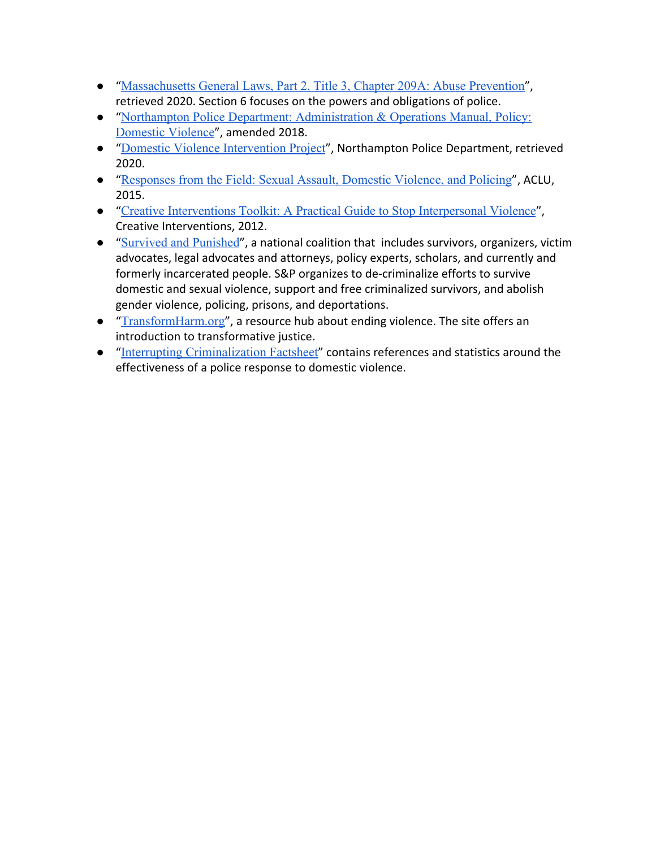- "[Massachusetts General Laws, Part 2, Title 3, Chapter 209A: Abuse Prevention](https://malegislature.gov/Laws/GeneralLaws/PartII/TitleIII/Chapter209A)", retrieved 2020. Section 6 focuses on the powers and obligations of police.
- "[Northampton Police Department: Administration & Operations Manual, Policy:](https://northamptonpd.com/administration/policies-and-procedures/138-o211-domestic-violence/file.html) [Domestic Violence](https://northamptonpd.com/administration/policies-and-procedures/138-o211-domestic-violence/file.html)", amended 2018.
- "[Domestic Violence Intervention Project](https://www.northamptonpd.com/other-resources/domestic-violence.html)", Northampton Police Department, retrieved 2020.
- "[Responses from the Field: Sexual Assault, Domestic Violence, and Policing](https://www.aclu.org/sites/default/files/field_document/2015.10.20_report_-_responses_from_the_field.pdf)", ACLU, 2015.
- "[Creative Interventions Toolkit: A Practical Guide to Stop Interpersonal Violence](http://www.creative-interventions.org/tools/toolkit/)", Creative Interventions, 2012.
- "[Survived and Punished](https://survivedandpunished.org/)", a national coalition that includes survivors, organizers, victim advocates, legal advocates and attorneys, policy experts, scholars, and currently and formerly incarcerated people. S&P organizes to de-criminalize efforts to survive domestic and sexual violence, support and free criminalized survivors, and abolish gender violence, policing, prisons, and deportations.
- "[TransformHarm.org](https://transformharm.org/)", a resource hub about ending violence. The site offers an introduction to transformative justice.
- <span id="page-16-0"></span>● "[Interrupting Criminalization Factsheet](https://static1.squarespace.com/static/5ee39ec764dbd7179cf1243c/t/5f9c405569362b211c3bcc8d/1604075605257/DEFUND+%26+DVAM.pdf)" contains references and statistics around the effectiveness of a police response to domestic violence.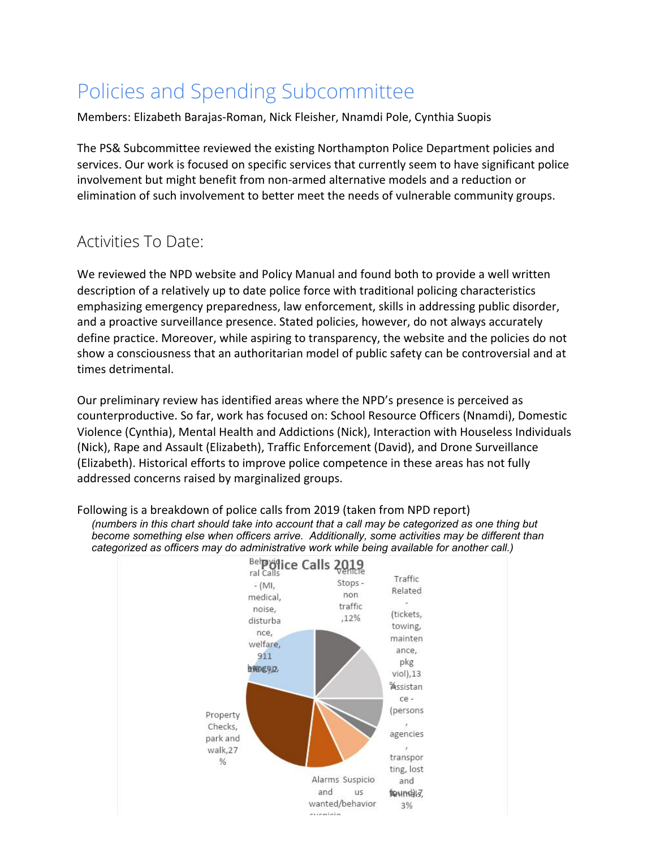# Policies and Spending Subcommittee

Members: Elizabeth Barajas-Roman, Nick Fleisher, Nnamdi Pole, Cynthia Suopis

The PS& Subcommittee reviewed the existing Northampton Police Department policies and services. Our work is focused on specific services that currently seem to have significant police involvement but might benefit from non-armed alternative models and a reduction or elimination of such involvement to better meet the needs of vulnerable community groups.

## <span id="page-17-0"></span>Activities To Date:

We reviewed the NPD website and Policy Manual and found both to provide a well written description of a relatively up to date police force with traditional policing characteristics emphasizing emergency preparedness, law enforcement, skills in addressing public disorder, and a proactive surveillance presence. Stated policies, however, do not always accurately define practice. Moreover, while aspiring to transparency, the website and the policies do not show a consciousness that an authoritarian model of public safety can be controversial and at times detrimental.

Our preliminary review has identified areas where the NPD's presence is perceived as counterproductive. So far, work has focused on: School Resource Officers (Nnamdi), Domestic Violence (Cynthia), Mental Health and Addictions (Nick), Interaction with Houseless Individuals (Nick), Rape and Assault (Elizabeth), Traffic Enforcement (David), and Drone Surveillance (Elizabeth). Historical efforts to improve police competence in these areas has not fully addressed concerns raised by marginalized groups.



areniais

Following is a breakdown of police calls from 2019 (taken from NPD report) *(numbers in this chart should take into account that a call may be categorized as one thing but become something else when officers arrive. Additionally, some activities may be different than categorized as officers may do administrative work while being available for another call.)*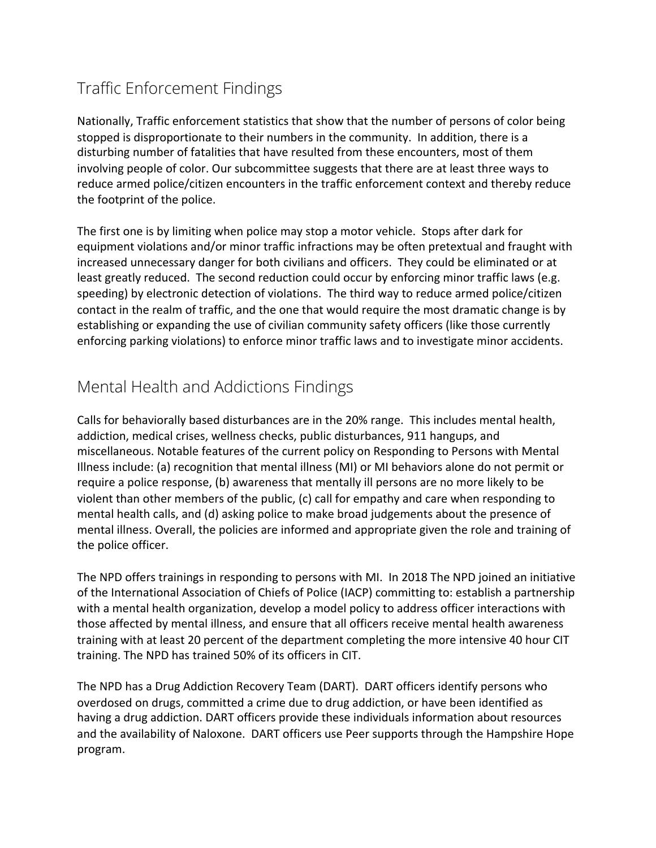# <span id="page-18-0"></span>Traffic Enforcement Findings

Nationally, Traffic enforcement statistics that show that the number of persons of color being stopped is disproportionate to their numbers in the community. In addition, there is a disturbing number of fatalities that have resulted from these encounters, most of them involving people of color. Our subcommittee suggests that there are at least three ways to reduce armed police/citizen encounters in the traffic enforcement context and thereby reduce the footprint of the police.

The first one is by limiting when police may stop a motor vehicle. Stops after dark for equipment violations and/or minor traffic infractions may be often pretextual and fraught with increased unnecessary danger for both civilians and officers. They could be eliminated or at least greatly reduced. The second reduction could occur by enforcing minor traffic laws (e.g. speeding) by electronic detection of violations. The third way to reduce armed police/citizen contact in the realm of traffic, and the one that would require the most dramatic change is by establishing or expanding the use of civilian community safety officers (like those currently enforcing parking violations) to enforce minor traffic laws and to investigate minor accidents.

## <span id="page-18-1"></span>Mental Health and Addictions Findings

Calls for behaviorally based disturbances are in the 20% range. This includes mental health, addiction, medical crises, wellness checks, public disturbances, 911 hangups, and miscellaneous. Notable features of the current policy on Responding to Persons with Mental Illness include: (a) recognition that mental illness (MI) or MI behaviors alone do not permit or require a police response, (b) awareness that mentally ill persons are no more likely to be violent than other members of the public, (c) call for empathy and care when responding to mental health calls, and (d) asking police to make broad judgements about the presence of mental illness. Overall, the policies are informed and appropriate given the role and training of the police officer.

The NPD offers trainings in responding to persons with MI. In 2018 The NPD joined an initiative of the International Association of Chiefs of Police (IACP) committing to: establish a partnership with a mental health organization, develop a model policy to address officer interactions with those affected by mental illness, and ensure that all officers receive mental health awareness training with at least 20 percent of the department completing the more intensive 40 hour CIT training. The NPD has trained 50% of its officers in CIT.

The NPD has a Drug Addiction Recovery Team (DART). DART officers identify persons who overdosed on drugs, committed a crime due to drug addiction, or have been identified as having a drug addiction. DART officers provide these individuals information about resources and the availability of Naloxone. DART officers use Peer supports through the Hampshire Hope program.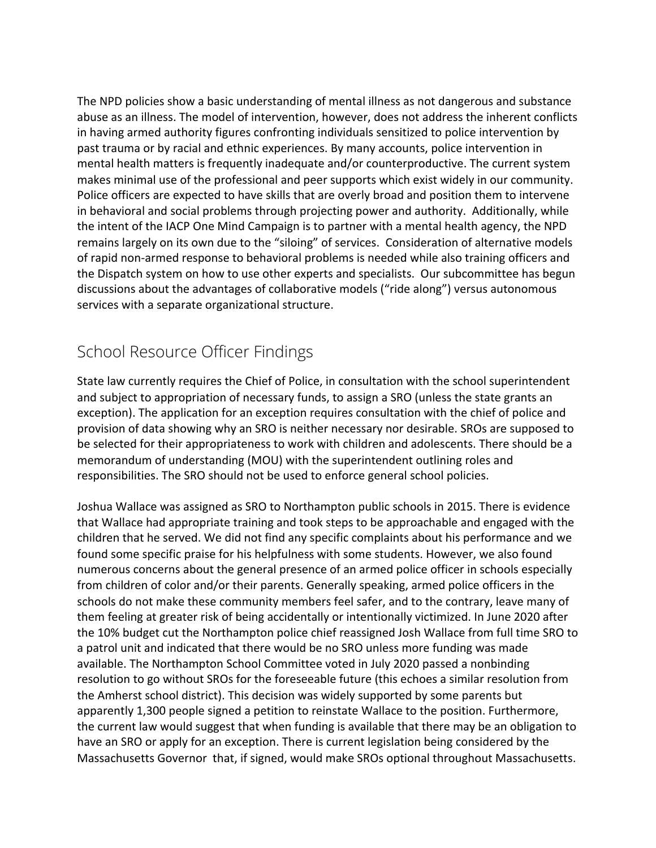The NPD policies show a basic understanding of mental illness as not dangerous and substance abuse as an illness. The model of intervention, however, does not address the inherent conflicts in having armed authority figures confronting individuals sensitized to police intervention by past trauma or by racial and ethnic experiences. By many accounts, police intervention in mental health matters is frequently inadequate and/or counterproductive. The current system makes minimal use of the professional and peer supports which exist widely in our community. Police officers are expected to have skills that are overly broad and position them to intervene in behavioral and social problems through projecting power and authority. Additionally, while the intent of the IACP One Mind Campaign is to partner with a mental health agency, the NPD remains largely on its own due to the "siloing" of services. Consideration of alternative models of rapid non-armed response to behavioral problems is needed while also training officers and the Dispatch system on how to use other experts and specialists. Our subcommittee has begun discussions about the advantages of collaborative models ("ride along") versus autonomous services with a separate organizational structure.

## <span id="page-19-0"></span>School Resource Officer Findings

State law currently requires the Chief of Police, in consultation with the school superintendent and subject to appropriation of necessary funds, to assign a SRO (unless the state grants an exception). The application for an exception requires consultation with the chief of police and provision of data showing why an SRO is neither necessary nor desirable. SROs are supposed to be selected for their appropriateness to work with children and adolescents. There should be a memorandum of understanding (MOU) with the superintendent outlining roles and responsibilities. The SRO should not be used to enforce general school policies.

Joshua Wallace was assigned as SRO to Northampton public schools in 2015. There is evidence that Wallace had appropriate training and took steps to be approachable and engaged with the children that he served. We did not find any specific complaints about his performance and we found some specific praise for his helpfulness with some students. However, we also found numerous concerns about the general presence of an armed police officer in schools especially from children of color and/or their parents. Generally speaking, armed police officers in the schools do not make these community members feel safer, and to the contrary, leave many of them feeling at greater risk of being accidentally or intentionally victimized. In June 2020 after the 10% budget cut the Northampton police chief reassigned Josh Wallace from full time SRO to a patrol unit and indicated that there would be no SRO unless more funding was made available. The Northampton School Committee voted in July 2020 passed a nonbinding resolution to go without SROs for the foreseeable future (this echoes a similar resolution from the Amherst school district). This decision was widely supported by some parents but apparently 1,300 people signed a petition to reinstate Wallace to the position. Furthermore, the current law would suggest that when funding is available that there may be an obligation to have an SRO or apply for an exception. There is current legislation being considered by the Massachusetts Governor that, if signed, would make SROs optional throughout Massachusetts.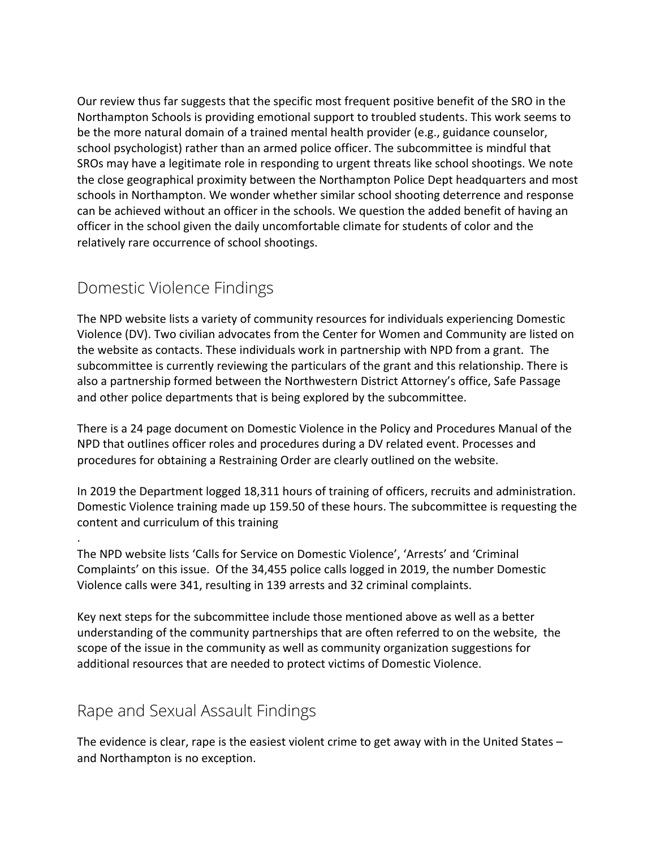Our review thus far suggests that the specific most frequent positive benefit of the SRO in the Northampton Schools is providing emotional support to troubled students. This work seems to be the more natural domain of a trained mental health provider (e.g., guidance counselor, school psychologist) rather than an armed police officer. The subcommittee is mindful that SROs may have a legitimate role in responding to urgent threats like school shootings. We note the close geographical proximity between the Northampton Police Dept headquarters and most schools in Northampton. We wonder whether similar school shooting deterrence and response can be achieved without an officer in the schools. We question the added benefit of having an officer in the school given the daily uncomfortable climate for students of color and the relatively rare occurrence of school shootings.

## <span id="page-20-0"></span>Domestic Violence Findings

.

The NPD website lists a variety of community resources for individuals experiencing Domestic Violence (DV). Two civilian advocates from the Center for Women and Community are listed on the website as contacts. These individuals work in partnership with NPD from a grant. The subcommittee is currently reviewing the particulars of the grant and this relationship. There is also a partnership formed between the Northwestern District Attorney's office, Safe Passage and other police departments that is being explored by the subcommittee.

There is a 24 page document on Domestic Violence in the Policy and Procedures Manual of the NPD that outlines officer roles and procedures during a DV related event. Processes and procedures for obtaining a Restraining Order are clearly outlined on the website.

In 2019 the Department logged 18,311 hours of training of officers, recruits and administration. Domestic Violence training made up 159.50 of these hours. The subcommittee is requesting the content and curriculum of this training

The NPD website lists 'Calls for Service on Domestic Violence', 'Arrests' and 'Criminal Complaints' on this issue. Of the 34,455 police calls logged in 2019, the number Domestic Violence calls were 341, resulting in 139 arrests and 32 criminal complaints.

Key next steps for the subcommittee include those mentioned above as well as a better understanding of the community partnerships that are often referred to on the website, the scope of the issue in the community as well as community organization suggestions for additional resources that are needed to protect victims of Domestic Violence.

## <span id="page-20-1"></span>Rape and Sexual Assault Findings

The evidence is clear, rape is the easiest violent crime to get away with in the United States – and Northampton is no exception.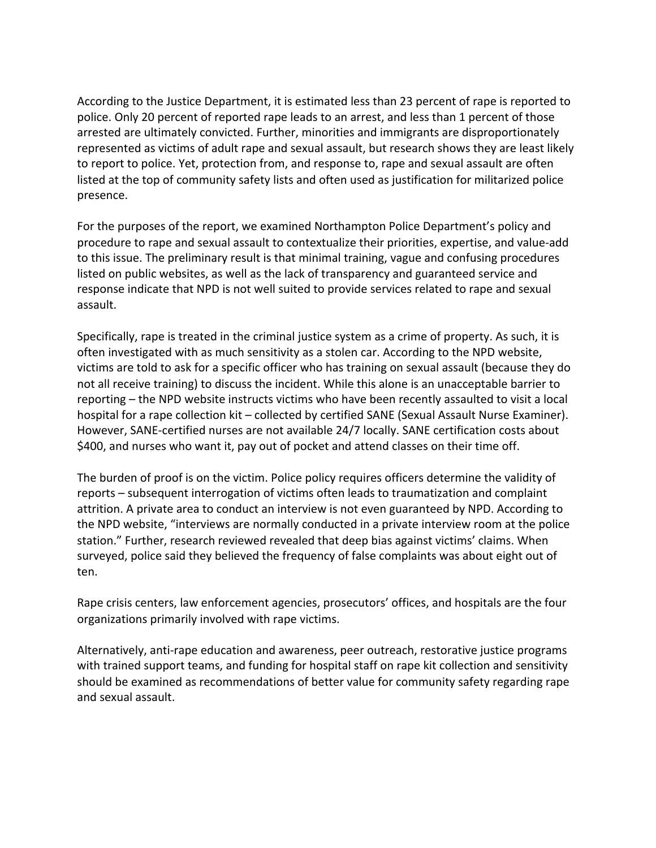According to the Justice Department, it is estimated less than 23 percent of rape is reported to police. Only 20 percent of reported rape leads to an arrest, and less than 1 percent of those arrested are ultimately convicted. Further, minorities and immigrants are disproportionately represented as victims of adult rape and sexual assault, but research shows they are least likely to report to police. Yet, protection from, and response to, rape and sexual assault are often listed at the top of community safety lists and often used as justification for militarized police presence.

For the purposes of the report, we examined Northampton Police Department's policy and procedure to rape and sexual assault to contextualize their priorities, expertise, and value-add to this issue. The preliminary result is that minimal training, vague and confusing procedures listed on public websites, as well as the lack of transparency and guaranteed service and response indicate that NPD is not well suited to provide services related to rape and sexual assault.

Specifically, rape is treated in the criminal justice system as a crime of property. As such, it is often investigated with as much sensitivity as a stolen car. According to the NPD website, victims are told to ask for a specific officer who has training on sexual assault (because they do not all receive training) to discuss the incident. While this alone is an unacceptable barrier to reporting – the NPD website instructs victims who have been recently assaulted to visit a local hospital for a rape collection kit – collected by certified SANE (Sexual Assault Nurse Examiner). However, SANE-certified nurses are not available 24/7 locally. SANE certification costs about \$400, and nurses who want it, pay out of pocket and attend classes on their time off.

The burden of proof is on the victim. Police policy requires officers determine the validity of reports – subsequent interrogation of victims often leads to traumatization and complaint attrition. A private area to conduct an interview is not even guaranteed by NPD. According to the NPD website, "interviews are normally conducted in a private interview room at the police station." Further, research reviewed revealed that deep bias against victims' claims. When surveyed, police said they believed the frequency of false complaints was about eight out of ten.

Rape crisis centers, law enforcement agencies, prosecutors' offices, and hospitals are the four organizations primarily involved with rape victims.

Alternatively, anti-rape education and awareness, peer outreach, restorative justice programs with trained support teams, and funding for hospital staff on rape kit collection and sensitivity should be examined as recommendations of better value for community safety regarding rape and sexual assault.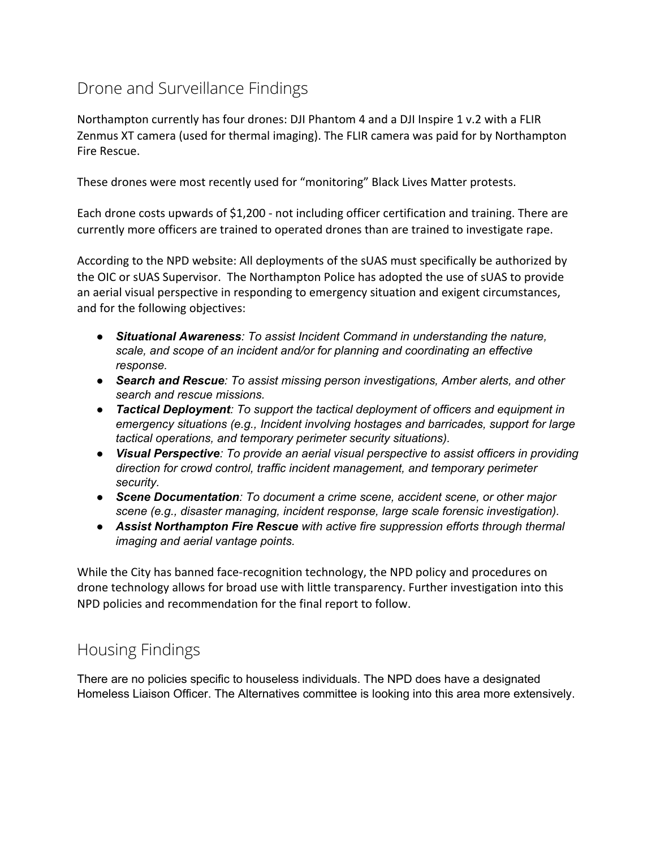# <span id="page-22-0"></span>Drone and Surveillance Findings

Northampton currently has four drones: DJI Phantom 4 and a DJI Inspire 1 v.2 with a FLIR Zenmus XT camera (used for thermal imaging). The FLIR camera was paid for by Northampton Fire Rescue.

These drones were most recently used for "monitoring" Black Lives Matter protests.

Each drone costs upwards of \$1,200 - not including officer certification and training. There are currently more officers are trained to operated drones than are trained to investigate rape.

According to the NPD website: All deployments of the sUAS must specifically be authorized by the OIC or sUAS Supervisor. The Northampton Police has adopted the use of sUAS to provide an aerial visual perspective in responding to emergency situation and exigent circumstances, and for the following objectives:

- *● Situational Awareness: To assist Incident Command in understanding the nature, scale, and scope of an incident and/or for planning and coordinating an effective response.*
- *● Search and Rescue: To assist missing person investigations, Amber alerts, and other search and rescue missions.*
- *● Tactical Deployment: To support the tactical deployment of officers and equipment in emergency situations (e.g., Incident involving hostages and barricades, support for large tactical operations, and temporary perimeter security situations).*
- *● Visual Perspective: To provide an aerial visual perspective to assist officers in providing direction for crowd control, traffic incident management, and temporary perimeter security.*
- *● Scene Documentation: To document a crime scene, accident scene, or other major scene (e.g., disaster managing, incident response, large scale forensic investigation).*
- *● Assist Northampton Fire Rescue with active fire suppression efforts through thermal imaging and aerial vantage points.*

While the City has banned face-recognition technology, the NPD policy and procedures on drone technology allows for broad use with little transparency. Further investigation into this NPD policies and recommendation for the final report to follow.

## <span id="page-22-1"></span>Housing Findings

There are no policies specific to houseless individuals. The NPD does have a designated Homeless Liaison Officer. The Alternatives committee is looking into this area more extensively.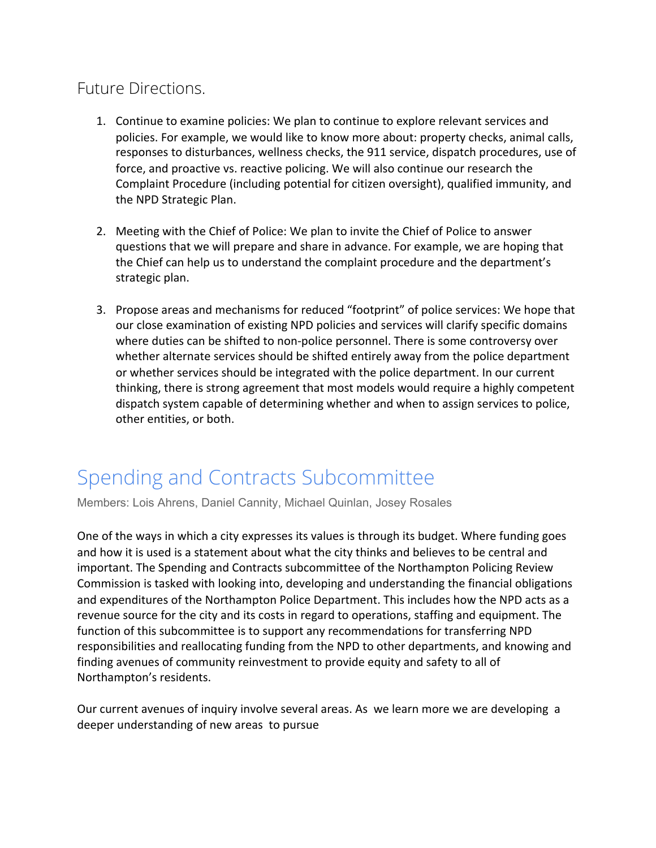## <span id="page-23-0"></span>Future Directions.

- 1. Continue to examine policies: We plan to continue to explore relevant services and policies. For example, we would like to know more about: property checks, animal calls, responses to disturbances, wellness checks, the 911 service, dispatch procedures, use of force, and proactive vs. reactive policing. We will also continue our research the Complaint Procedure (including potential for citizen oversight), qualified immunity, and the NPD Strategic Plan.
- 2. Meeting with the Chief of Police: We plan to invite the Chief of Police to answer questions that we will prepare and share in advance. For example, we are hoping that the Chief can help us to understand the complaint procedure and the department's strategic plan.
- 3. Propose areas and mechanisms for reduced "footprint" of police services: We hope that our close examination of existing NPD policies and services will clarify specific domains where duties can be shifted to non-police personnel. There is some controversy over whether alternate services should be shifted entirely away from the police department or whether services should be integrated with the police department. In our current thinking, there is strong agreement that most models would require a highly competent dispatch system capable of determining whether and when to assign services to police, other entities, or both.

# <span id="page-23-1"></span>Spending and Contracts Subcommittee

Members: Lois Ahrens, Daniel Cannity, Michael Quinlan, Josey Rosales

One of the ways in which a city expresses its values is through its budget. Where funding goes and how it is used is a statement about what the city thinks and believes to be central and important. The Spending and Contracts subcommittee of the Northampton Policing Review Commission is tasked with looking into, developing and understanding the financial obligations and expenditures of the Northampton Police Department. This includes how the NPD acts as a revenue source for the city and its costs in regard to operations, staffing and equipment. The function of this subcommittee is to support any recommendations for transferring NPD responsibilities and reallocating funding from the NPD to other departments, and knowing and finding avenues of community reinvestment to provide equity and safety to all of Northampton's residents.

Our current avenues of inquiry involve several areas. As we learn more we are developing a deeper understanding of new areas to pursue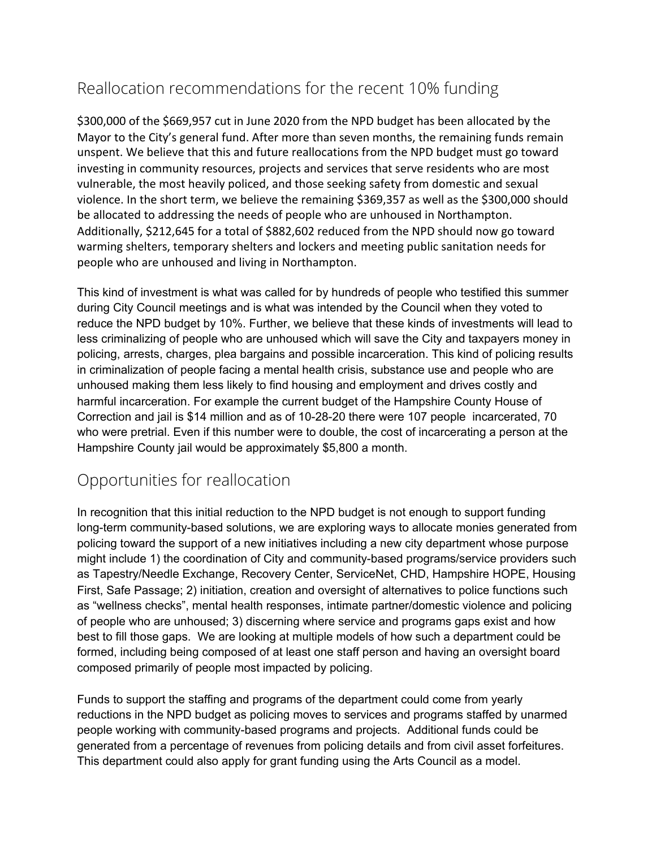# <span id="page-24-0"></span>Reallocation recommendations for the recent 10% funding

\$300,000 of the \$669,957 cut in June 2020 from the NPD budget has been allocated by the Mayor to the City's general fund. After more than seven months, the remaining funds remain unspent. We believe that this and future reallocations from the NPD budget must go toward investing in community resources, projects and services that serve residents who are most vulnerable, the most heavily policed, and those seeking safety from domestic and sexual violence. In the short term, we believe the remaining \$369,357 as well as the \$300,000 should be allocated to addressing the needs of people who are unhoused in Northampton. Additionally, \$212,645 for a total of \$882,602 reduced from the NPD should now go toward warming shelters, temporary shelters and lockers and meeting public sanitation needs for people who are unhoused and living in Northampton.

This kind of investment is what was called for by hundreds of people who testified this summer during City Council meetings and is what was intended by the Council when they voted to reduce the NPD budget by 10%. Further, we believe that these kinds of investments will lead to less criminalizing of people who are unhoused which will save the City and taxpayers money in policing, arrests, charges, plea bargains and possible incarceration. This kind of policing results in criminalization of people facing a mental health crisis, substance use and people who are unhoused making them less likely to find housing and employment and drives costly and harmful incarceration. For example the current budget of the Hampshire County House of Correction and jail is \$14 million and as of 10-28-20 there were 107 people incarcerated, 70 who were pretrial. Even if this number were to double, the cost of incarcerating a person at the Hampshire County jail would be approximately \$5,800 a month.

## <span id="page-24-1"></span>Opportunities for reallocation

In recognition that this initial reduction to the NPD budget is not enough to support funding long-term community-based solutions, we are exploring ways to allocate monies generated from policing toward the support of a new initiatives including a new city department whose purpose might include 1) the coordination of City and community-based programs/service providers such as Tapestry/Needle Exchange, Recovery Center, ServiceNet, CHD, Hampshire HOPE, Housing First, Safe Passage; 2) initiation, creation and oversight of alternatives to police functions such as "wellness checks", mental health responses, intimate partner/domestic violence and policing of people who are unhoused; 3) discerning where service and programs gaps exist and how best to fill those gaps. We are looking at multiple models of how such a department could be formed, including being composed of at least one staff person and having an oversight board composed primarily of people most impacted by policing.

Funds to support the staffing and programs of the department could come from yearly reductions in the NPD budget as policing moves to services and programs staffed by unarmed people working with community-based programs and projects. Additional funds could be generated from a percentage of revenues from policing details and from civil asset forfeitures. This department could also apply for grant funding using the Arts Council as a model.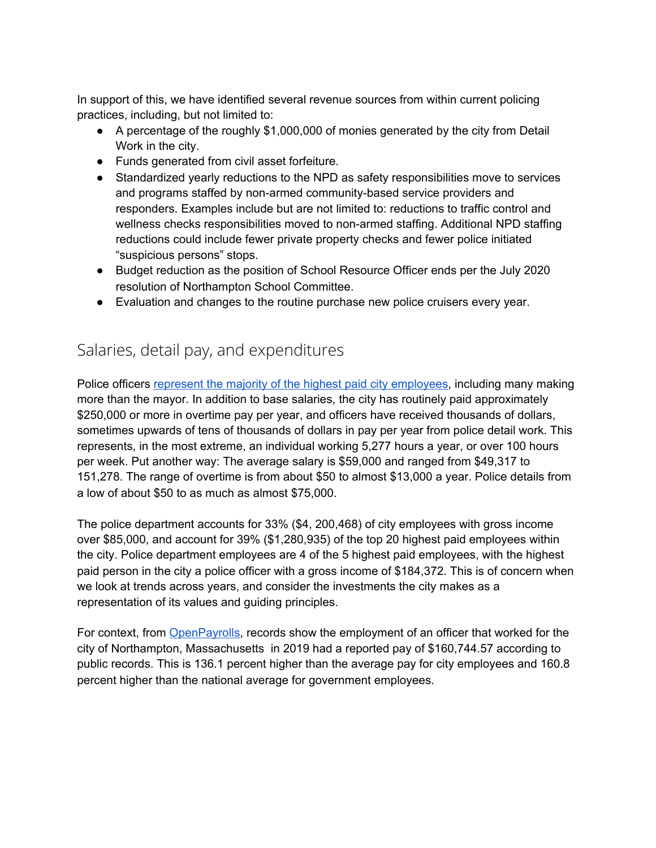In support of this, we have identified several revenue sources from within current policing practices, including, but not limited to:

- A percentage of the roughly \$1,000,000 of monies generated by the city from Detail Work in the city.
- Funds generated from civil asset forfeiture.
- Standardized yearly reductions to the NPD as safety responsibilities move to services and programs staffed by non-armed community-based service providers and responders. Examples include but are not limited to: reductions to traffic control and wellness checks responsibilities moved to non-armed staffing. Additional NPD staffing reductions could include fewer private property checks and fewer police initiated "suspicious persons" stops.
- Budget reduction as the position of School Resource Officer ends per the July 2020 resolution of Northampton School Committee.
- Evaluation and changes to the routine purchase new police cruisers every year.

## <span id="page-25-0"></span>Salaries, detail pay, and expenditures

Police officers represent the majority of the highest paid city [employees](https://northamptonma.gov/DocumentCenter/View/15823/Employee-Gross-Salaries-for-FY2020---July-1-2019-to-June-30-2020), including many making more than the mayor. In addition to base salaries, the city has routinely paid approximately \$250,000 or more in overtime pay per year, and officers have received thousands of dollars, sometimes upwards of tens of thousands of dollars in pay per year from police detail work. This represents, in the most extreme, an individual working 5,277 hours a year, or over 100 hours per week. Put another way: The average salary is \$59,000 and ranged from \$49,317 to 151,278. The range of overtime is from about \$50 to almost \$13,000 a year. Police details from a low of about \$50 to as much as almost \$75,000.

The police department accounts for 33% (\$4, 200,468) of city employees with gross income over \$85,000, and account for 39% (\$1,280,935) of the top 20 highest paid employees within the city. Police department employees are 4 of the 5 highest paid employees, with the highest paid person in the city a police officer with a gross income of \$184,372. This is of concern when we look at trends across years, and consider the investments the city makes as a representation of its values and guiding principles.

For context, from **[OpenPayrolls](https://openpayrolls.com/alan-borowski-66653488)**, records show the employment of an officer that worked for the city of Northampton, Massachusetts in 2019 had a reported pay of \$160,744.57 according to public records. This is 136.1 percent higher than the average pay for city employees and 160.8 percent higher than the national average for government employees.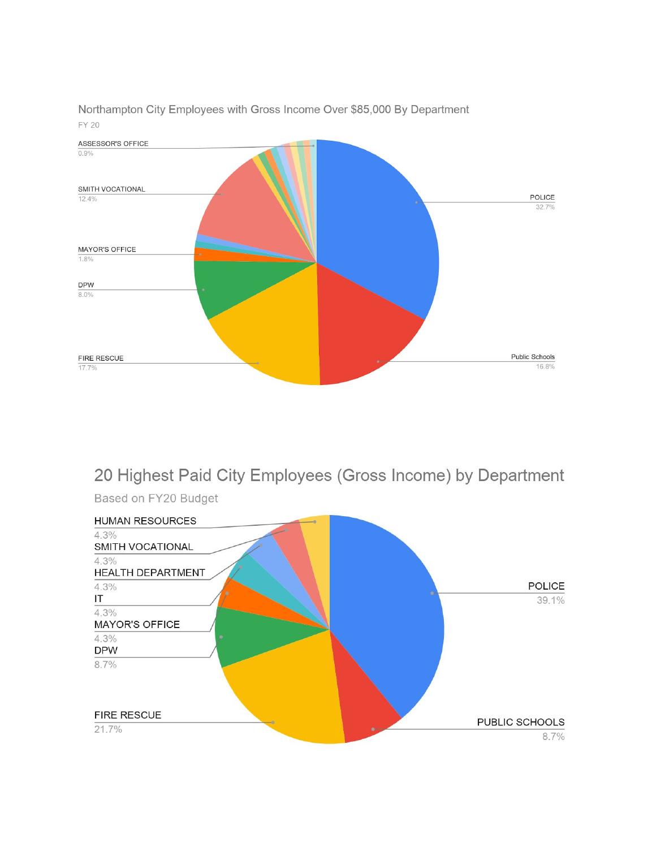

Northampton City Employees with Gross Income Over \$85,000 By Department **FY 20** 

# 20 Highest Paid City Employees (Gross Income) by Department



Based on FY20 Budget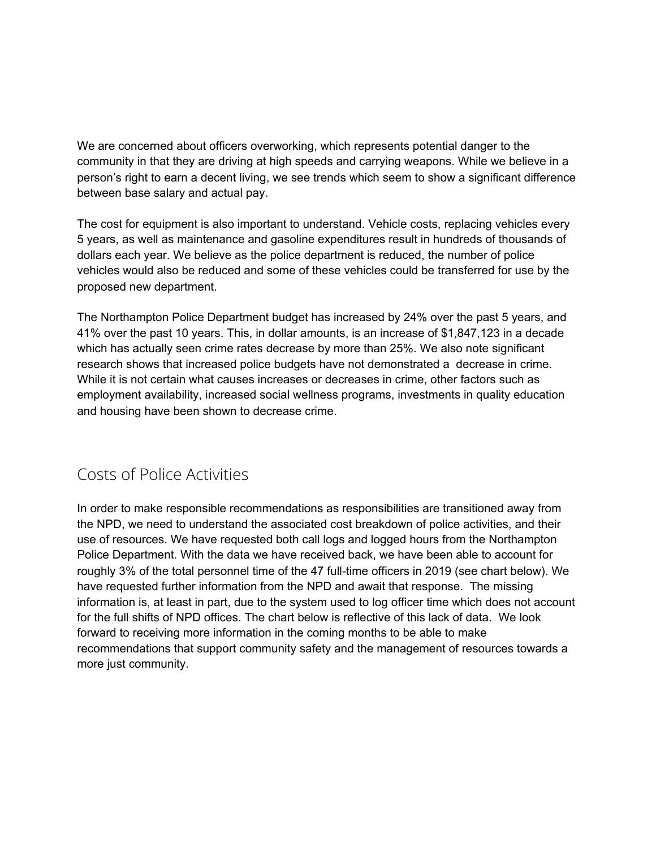We are concerned about officers overworking, which represents potential danger to the community in that they are driving at high speeds and carrying weapons. While we believe in a person's right to earn a decent living, we see trends which seem to show a significant difference between base salary and actual pay.

The cost for equipment is also important to understand. Vehicle costs, replacing vehicles every 5 years, as well as maintenance and gasoline expenditures result in hundreds of thousands of dollars each year. We believe as the police department is reduced, the number of police vehicles would also be reduced and some of these vehicles could be transferred for use by the proposed new department.

The Northampton Police Department budget has increased by 24% over the past 5 years, and 41% over the past 10 years. This, in dollar amounts, is an increase of \$1,847,123 in a decade which has actually seen crime rates decrease by more than 25%. We also note significant research shows that increased police budgets have not demonstrated a decrease in crime. While it is not certain what causes increases or decreases in crime, other factors such as employment availability, increased social wellness programs, investments in quality education and housing have been shown to decrease crime.

## <span id="page-27-0"></span>Costs of Police Activities

In order to make responsible recommendations as responsibilities are transitioned away from the NPD, we need to understand the associated cost breakdown of police activities, and their use of resources. We have requested both call logs and logged hours from the Northampton Police Department. With the data we have received back, we have been able to account for roughly 3% of the total personnel time of the 47 full-time officers in 2019 (see chart below). We have requested further information from the NPD and await that response. The missing information is, at least in part, due to the system used to log officer time which does not account for the full shifts of NPD offices. The chart below is reflective of this lack of data. We look forward to receiving more information in the coming months to be able to make recommendations that support community safety and the management of resources towards a more just community.